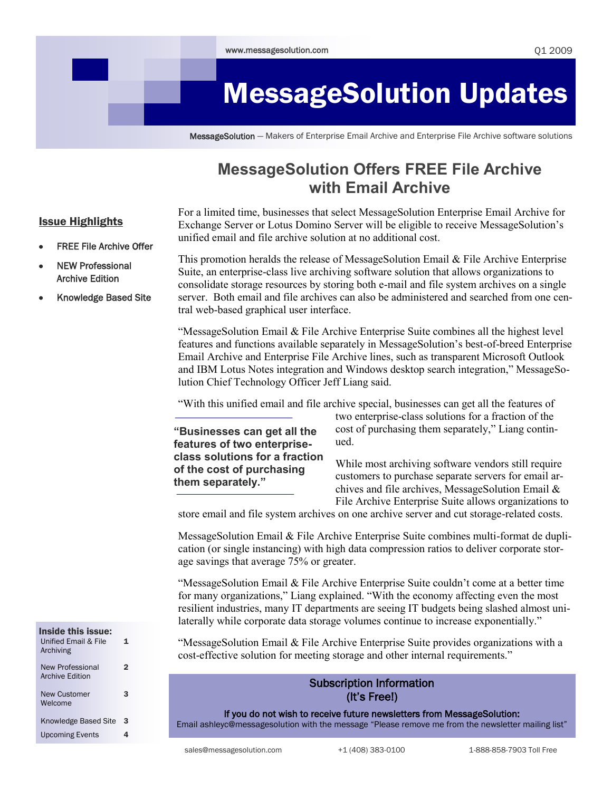# MessageSolution Updates

MessageSolution — Makers of Enterprise Email Archive and Enterprise File Archive software solutions

# **MessageSolution Offers FREE File Archive with Email Archive**

## Issue Highlights

For a limited time, businesses that select MessageSolution Enterprise Email Archive for Exchange Server or Lotus Domino Server will be eligible to receive MessageSolution"s unified email and file archive solution at no additional cost.

- FREE File Archive Offer
- NEW Professional Archive Edition
- Knowledge Based Site

This promotion heralds the release of MessageSolution Email & File Archive Enterprise Suite, an enterprise-class live archiving software solution that allows organizations to consolidate storage resources by storing both e-mail and file system archives on a single server. Both email and file archives can also be administered and searched from one central web-based graphical user interface.

"MessageSolution Email  $\&$  File Archive Enterprise Suite combines all the highest level features and functions available separately in MessageSolution"s best-of-breed Enterprise Email Archive and Enterprise File Archive lines, such as transparent Microsoft Outlook and IBM Lotus Notes integration and Windows desktop search integration," MessageSolution Chief Technology Officer Jeff Liang said.

"With this unified email and file archive special, businesses can get all the features of

**"Businesses can get all the features of two enterpriseclass solutions for a fraction of the cost of purchasing them separately."**

two enterprise-class solutions for a fraction of the cost of purchasing them separately," Liang continued.

While most archiving software vendors still require customers to purchase separate servers for email archives and file archives, MessageSolution Email & File Archive Enterprise Suite allows organizations to

store email and file system archives on one archive server and cut storage-related costs.

MessageSolution Email & File Archive Enterprise Suite combines multi-format de duplication (or single instancing) with high data compression ratios to deliver corporate storage savings that average 75% or greater.

"MessageSolution Email & File Archive Enterprise Suite couldn't come at a better time for many organizations," Liang explained. "With the economy affecting even the most resilient industries, many IT departments are seeing IT budgets being slashed almost unilaterally while corporate data storage volumes continue to increase exponentially."

"MessageSolution Email  $\&$  File Archive Enterprise Suite provides organizations with a cost-effective solution for meeting storage and other internal requirements."

## Subscription Information (It's Free!)

 If you do not wish to receive future newsletters from MessageSolution: Email ashleyc@messagesolution with the message "Please remove me from the newsletter mailing list"

Knowledge Based Site 3 Upcoming Events 4

1

2

3

Inside this issue: Unified Email & File Archiving

New Professional Archive Edition

New Customer Welcome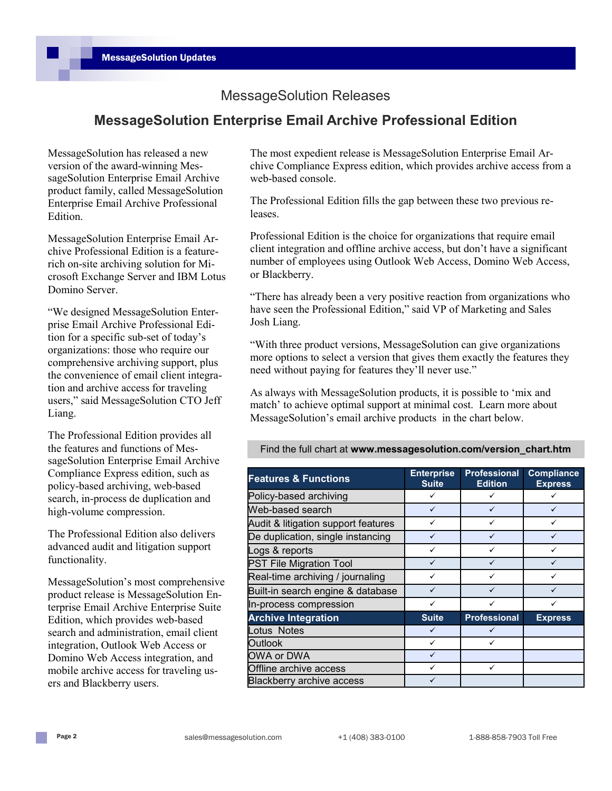## MessageSolution Releases

## **MessageSolution Enterprise Email Archive Professional Edition**

MessageSolution has released a new version of the award-winning MessageSolution Enterprise Email Archive product family, called MessageSolution Enterprise Email Archive Professional Edition.

MessageSolution Enterprise Email Archive Professional Edition is a featurerich on-site archiving solution for Microsoft Exchange Server and IBM Lotus Domino Server.

"We designed MessageSolution Enterprise Email Archive Professional Edition for a specific sub-set of today"s organizations: those who require our comprehensive archiving support, plus the convenience of email client integration and archive access for traveling users," said MessageSolution CTO Jeff Liang.

The Professional Edition provides all the features and functions of MessageSolution Enterprise Email Archive Compliance Express edition, such as policy-based archiving, web-based search, in-process de duplication and high-volume compression.

The Professional Edition also delivers advanced audit and litigation support functionality.

MessageSolution"s most comprehensive product release is MessageSolution Enterprise Email Archive Enterprise Suite Edition, which provides web-based search and administration, email client integration, Outlook Web Access or Domino Web Access integration, and mobile archive access for traveling users and Blackberry users.

The most expedient release is MessageSolution Enterprise Email Archive Compliance Express edition, which provides archive access from a web-based console.

The Professional Edition fills the gap between these two previous releases.

Professional Edition is the choice for organizations that require email client integration and offline archive access, but don"t have a significant number of employees using Outlook Web Access, Domino Web Access, or Blackberry.

"There has already been a very positive reaction from organizations who have seen the Professional Edition," said VP of Marketing and Sales Josh Liang.

"With three product versions, MessageSolution can give organizations more options to select a version that gives them exactly the features they need without paying for features they"ll never use."

As always with MessageSolution products, it is possible to "mix and match' to achieve optimal support at minimal cost. Learn more about MessageSolution"s email archive products in the chart below.

Find the full chart at **www.messagesolution.com/version\_chart.htm**

| <b>Features &amp; Functions</b>     | <b>Enterprise</b><br><b>Suite</b> | <b>Professional</b><br><b>Edition</b> | <b>Compliance</b><br><b>Express</b> |
|-------------------------------------|-----------------------------------|---------------------------------------|-------------------------------------|
| Policy-based archiving              |                                   |                                       |                                     |
| Web-based search                    | ✓                                 | ✓                                     |                                     |
| Audit & litigation support features | ✓                                 | ✓                                     | ✓                                   |
| De duplication, single instancing   |                                   |                                       |                                     |
| Logs & reports                      | ✓                                 | ✓                                     | ✓                                   |
| <b>PST File Migration Tool</b>      | ✓                                 | ✓                                     | ✓                                   |
| Real-time archiving / journaling    |                                   | ✓                                     |                                     |
| Built-in search engine & database   | ✓                                 | ✓                                     |                                     |
| In-process compression              | ✓                                 | ✓                                     |                                     |
| <b>Archive Integration</b>          | <b>Suite</b>                      | <b>Professional</b>                   | <b>Express</b>                      |
| Lotus Notes                         | ✓                                 | ✓                                     |                                     |
| <b>Outlook</b>                      | $\checkmark$                      | ✓                                     |                                     |
| OWA or DWA                          | ✓                                 |                                       |                                     |
| Offline archive access              |                                   | ✓                                     |                                     |
| <b>Blackberry archive access</b>    |                                   |                                       |                                     |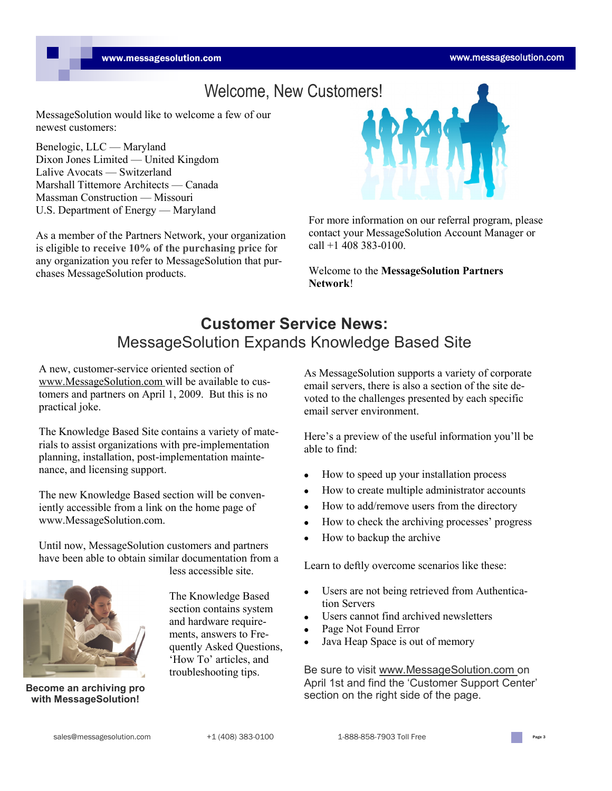# Welcome, New Customers!

MessageSolution would like to welcome a few of our newest customers:

Benelogic, LLC — Maryland Dixon Jones Limited — United Kingdom Lalive Avocats — Switzerland Marshall Tittemore Architects — Canada Massman Construction — Missouri U.S. Department of Energy — Maryland

As a member of the Partners Network, your organization is eligible to **receive 10% of the purchasing price** for any organization you refer to MessageSolution that purchases MessageSolution products.



For more information on our referral program, please contact your MessageSolution Account Manager or call +1 408 383-0100.

Welcome to the **MessageSolution Partners Network**!

# **Customer Service News:**  MessageSolution Expands Knowledge Based Site

A new, customer-service oriented section of www.MessageSolution.com will be available to customers and partners on April 1, 2009. But this is no practical joke.

**Legal** nance, and licensing support. The Knowledge Based Site contains a variety of materials to assist organizations with pre-implementation planning, installation, post-implementation mainte-

The new Knowledge Based section will be conveniently accessible from a link on the home page of www.MessageSolution.com.

Until now, MessageSolution customers and partners have been able to obtain similar documentation from a less accessible site.



**with MessageSolution!**

The Knowledge Based section contains system and hardware requirements, answers to Frequently Asked Questions, 'How To' articles, and troubleshooting tips.

As MessageSolution supports a variety of corporate email servers, there is also a section of the site devoted to the challenges presented by each specific email server environment.

Here's a preview of the useful information you'll be able to find:

- How to speed up your installation process  $\bullet$
- How to create multiple administrator accounts  $\bullet$
- How to add/remove users from the directory
- How to check the archiving processes" progress  $\bullet$
- How to backup the archive

Learn to deftly overcome scenarios like these:

- Users are not being retrieved from Authentication Servers
- Users cannot find archived newsletters
- Page Not Found Error
- Java Heap Space is out of memory

Be sure to visit www.MessageSolution.com on April 1st and find the 'Customer Support Center' Become an archiving pro **Become and archiving pro Become and archiving pro Become and archiving pro** *Become and intervalse of the page.* 

sales@messagesolution.com  $+1 (408) 383-0100$  1-888-858-7903 Toll Free Page 3